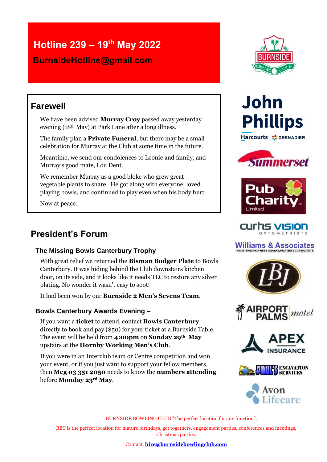## **Hotline 239 – 19th May 2022**

 **BurnsideHotline@gmail.com**

### **Farewell**

We have been advised **Murray Croy** passed away yesterday evening (18th May) at Park Lane after a long illness.

The family plan a **Private Funeral**, but there may be a small celebration for Murray at the Club at some time in the future.

Meantime, we send our condolences to Leonie and family, and Murray's good mate, Lou Dent.

We remember Murray as a good bloke who grew great vegetable plants to share. He got along with everyone, loved playing bowls, and continued to play even when his body hurt.

Now at peace.

### **President's Forum**

#### **The Missing Bowls Canterbury Trophy**

With great relief we returned the **Bisman Bodger Plate** to Bowls Canterbury. It was hiding behind the Club downstairs kitchen door, on its side, and it looks like it needs TLC to restore any silver plating. No wonder it wasn't easy to spot!

It had been won by our **Burnside 2 Men's Sevens Team**.

#### **Bowls Canterbury Awards Evening –**

If you want a **ticket** to attend, contact **Bowls Canterbury** directly to book and pay (\$50) for your ticket at a Burnside Table. The event will be held from **4:00pm** on **Sunday 29th May** upstairs at the **Hornby Working Men's Club**.

If you were in an Interclub team or Centre competition and won your event, or if you just want to support your fellow members, then **Meg 03 351 2050** needs to know the **numbers attending** before **Monday 23rd May**.



# **John Phillips** Harcourts **\*** GRENADIER







### **Williams & Associates**











BURNSIDE BOWLING CLUB "The perfect location for any function".

BBC is the perfect location for mature birthdays, get togethers, engagement parties, conferences and meetings, Christmas parties.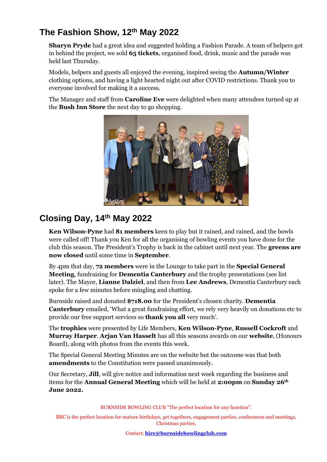### **The Fashion Show, 12th May 2022**

**Sharyn Pryde** had a great idea and suggested holding a Fashion Parade. A team of helpers got in behind the project, we sold **65 tickets**, organised food, drink, music and the parade was held last Thursday.

Models, helpers and guests all enjoyed the evening, inspired seeing the **Autumn/Winter** clothing options, and having a light hearted night out after COVID restrictions. Thank you to everyone involved for making it a success.

The Manager and staff from **Caroline Eve** were delighted when many attendees turned up at the **Bush Inn Store** the next day to go shopping.



### **Closing Day, 14th May 2022**

**Ken Wilson-Pyne** had **81 members** keen to play but it rained, and rained, and the bowls were called off! Thank you Ken for all the organising of bowling events you have done for the club this season. The President's Trophy is back in the cabinet until next year. The **greens are now closed** until some time in **September**.

By 4pm that day, **72 members** were in the Lounge to take part in the **Special General Meeting**, fundraising for **Dementia Canterbury** and the trophy presentations (see list later). The Mayor, **Lianne Dalziel**, and then from **Lee Andrews**, Dementia Canterbury each spoke for a few minutes before mingling and chatting.

Burnside raised and donated **\$718.00** for the President's chosen charity. **Dementia Canterbury** emailed, 'What a great fundraising effort, we rely very heavily on donations etc to provide our free support services so **thank you all** very much'.

The **trophies** were presented by Life Members, **Ken Wilson-Pyne**, **Russell Cockroft** and **Murray Harper**. **Arjan Van Hasselt** has all this seasons awards on our **website**, (Honours Board), along with photos from the events this week.

The Special General Meeting Minutes are on the website but the outcome was that both **amendments** to the Constitution were passed unanimously.

Our Secretary, **Jill**, will give notice and information next week regarding the business and items for the **Annual General Meeting** which will be held at **2:00pm** on **Sunday 26th June 2022.**

BURNSIDE BOWLING CLUB "The perfect location for any function".

BBC is the perfect location for mature birthdays, get togethers, engagement parties, conferences and meetings, Christmas parties.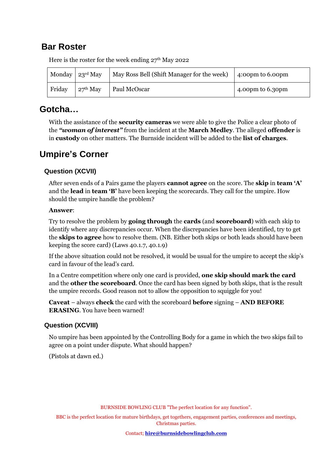### **Bar Roster**

|        | Monday $\sqrt{23^{rd}$ May | May Ross Bell (Shift Manager for the week) | $\frac{1}{2}$ :00pm to 6.00pm |
|--------|----------------------------|--------------------------------------------|-------------------------------|
| Friday | $27th$ May                 | Paul McOscar                               | 4.00pm to $6.30$ pm           |

Here is the roster for the week ending  $27<sup>th</sup>$  May 2022

#### **Gotcha…**

With the assistance of the **security cameras** we were able to give the Police a clear photo of the *"woman of interest"* from the incident at the **March Medley**. The alleged **offender** is in **custody** on other matters. The Burnside incident will be added to the **list of charges**.

### **Umpire's Corner**

#### **Question (XCVII)**

After seven ends of a Pairs game the players **cannot agree** on the score. The **skip** in **team 'A'** and the **lead** in **team 'B'** have been keeping the scorecards. They call for the umpire. How should the umpire handle the problem?

#### **Answer**:

Try to resolve the problem by **going through** the **cards** (and **scoreboard**) with each skip to identify where any discrepancies occur. When the discrepancies have been identified, try to get the **skips to agree** how to resolve them. (NB. Either both skips or both leads should have been keeping the score card) (Laws 40.1.7, 40.1.9)

If the above situation could not be resolved, it would be usual for the umpire to accept the skip's card in favour of the lead's card.

In a Centre competition where only one card is provided, **one skip should mark the card** and the **other the scoreboard**. Once the card has been signed by both skips, that is the result the umpire records. Good reason not to allow the opposition to squiggle for you!

**Caveat** – always **check** the card with the scoreboard **before** signing – **AND BEFORE ERASING**. You have been warned!

#### **Question (XCVIII)**

No umpire has been appointed by the Controlling Body for a game in which the two skips fail to agree on a point under dispute. What should happen?

(Pistols at dawn ed.)

BURNSIDE BOWLING CLUB "The perfect location for any function".

BBC is the perfect location for mature birthdays, get togethers, engagement parties, conferences and meetings, Christmas parties.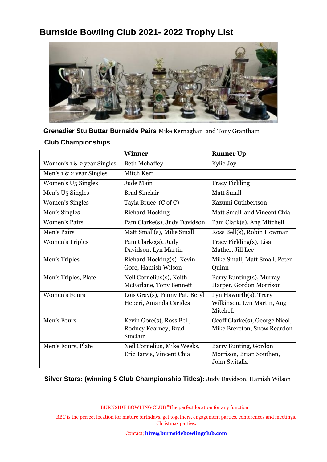### **Burnside Bowling Club 2021- 2022 Trophy List**



**Grenadier Stu Buttar Burnside Pairs** Mike Kernaghan and Tony Grantham **Club Championships**

|                                | <b>Winner</b>                  | <b>Runner Up</b>               |
|--------------------------------|--------------------------------|--------------------------------|
| Women's 1 & 2 year Singles     | <b>Beth Mehaffey</b>           | Kylie Joy                      |
| Men's 1 & 2 year Singles       | Mitch Kerr                     |                                |
| Women's U <sub>5</sub> Singles | Jude Main                      | <b>Tracy Fickling</b>          |
| Men's U <sub>5</sub> Singles   | <b>Brad Sinclair</b>           | <b>Matt Small</b>              |
| Women's Singles                | Tayla Bruce (C of C)           | Kazumi Cuthbertson             |
| Men's Singles                  | <b>Richard Hocking</b>         | Matt Small and Vincent Chia    |
| <b>Women's Pairs</b>           | Pam Clarke(s), Judy Davidson   | Pam Clark(s), Ang Mitchell     |
| Men's Pairs                    | Matt Small(s), Mike Small      | Ross Bell(s), Robin Howman     |
| <b>Women's Triples</b>         | Pam Clarke(s), Judy            | Tracy Fickling(s), Lisa        |
|                                | Davidson, Lyn Martin           | Mather, Jill Lee               |
| Men's Triples                  | Richard Hocking(s), Kevin      | Mike Small, Matt Small, Peter  |
|                                | Gore, Hamish Wilson            | Quinn                          |
| Men's Triples, Plate           | Neil Cornelius(s), Keith       | Barry Bunting(s), Murray       |
|                                | McFarlane, Tony Bennett        | Harper, Gordon Morrison        |
| <b>Women's Fours</b>           | Lois Gray(s), Penny Pat, Beryl | Lyn Haworth(s), Tracy          |
|                                | Heperi, Amanda Carides         | Wilkinson, Lyn Martin, Ang     |
|                                |                                | Mitchell                       |
| Men's Fours                    | Kevin Gore(s), Ross Bell,      | Geoff Clarke(s), George Nicol, |
|                                | Rodney Kearney, Brad           | Mike Brereton, Snow Reardon    |
|                                | Sinclair                       |                                |
| Men's Fours, Plate             | Neil Cornelius, Mike Weeks,    | Barry Bunting, Gordon          |
|                                | Eric Jarvis, Vincent Chia      | Morrison, Brian Southen,       |
|                                |                                | John Switalla                  |

**Silver Stars: (winning 5 Club Championship Titles):** Judy Davidson, Hamish Wilson

BURNSIDE BOWLING CLUB "The perfect location for any function".

BBC is the perfect location for mature birthdays, get togethers, engagement parties, conferences and meetings, Christmas parties.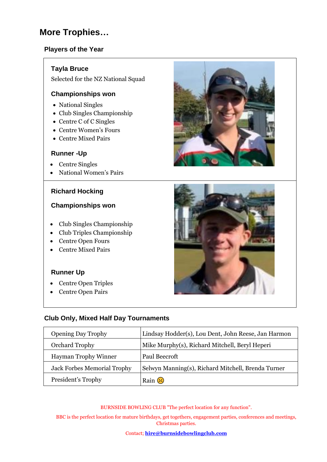### **More Trophies…**

#### **Players of the Year**

#### **Tayla Bruce**

Selected for the NZ National Squad

#### **Championships won**

- National Singles
- Club Singles Championship
- Centre C of C Singles
- Centre Women's Fours
- Centre Mixed Pairs

#### **Runner -Up**

- Centre Singles
- National Women's Pairs

#### **Richard Hocking**

#### **Championships won**

- Club Singles Championship
- Club Triples Championship
- Centre Open Fours
- Centre Mixed Pairs

#### **Runner Up**

- Centre Open Triples
- Centre Open Pairs





#### **Club Only, Mixed Half Day Tournaments**

| <b>Opening Day Trophy</b>          | Lindsay Hodder(s), Lou Dent, John Reese, Jan Harmon |
|------------------------------------|-----------------------------------------------------|
| <b>Orchard Trophy</b>              | Mike Murphy(s), Richard Mitchell, Beryl Heperi      |
| <b>Hayman Trophy Winner</b>        | Paul Beecroft                                       |
| <b>Jack Forbes Memorial Trophy</b> | Selwyn Manning(s), Richard Mitchell, Brenda Turner  |
| President's Trophy                 | Rain $\odot$                                        |

BURNSIDE BOWLING CLUB "The perfect location for any function".

BBC is the perfect location for mature birthdays, get togethers, engagement parties, conferences and meetings, Christmas parties.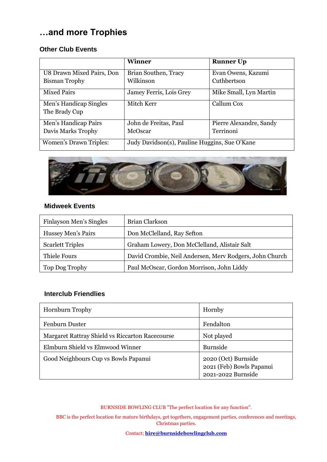### **…and more Trophies**

#### **Other Club Events**

|                                                                                | <b>Winner</b>                     | <b>Runner Up</b>                  |
|--------------------------------------------------------------------------------|-----------------------------------|-----------------------------------|
| U8 Drawn Mixed Pairs, Don<br><b>Bisman Trophy</b>                              | Brian Southen, Tracy<br>Wilkinson | Evan Owens, Kazumi<br>Cuthbertson |
| <b>Mixed Pairs</b>                                                             | Jamey Ferris, Lois Grey           | Mike Small, Lyn Martin            |
| Men's Handicap Singles<br>The Brady Cup                                        | Mitch Kerr                        | Callum Cox                        |
| Men's Handicap Pairs                                                           | John de Freitas, Paul             | Pierre Alexandre, Sandy           |
| Davis Marks Trophy                                                             | McOscar                           | Terrinoni                         |
| Judy Davidson(s), Pauline Huggins, Sue O'Kane<br><b>Women's Drawn Triples:</b> |                                   |                                   |



#### **Midweek Events**

| Finlayson Men's Singles | Brian Clarkson                                          |
|-------------------------|---------------------------------------------------------|
| Hussey Men's Pairs      | Don McClelland, Ray Sefton                              |
| <b>Scarlett Triples</b> | Graham Lowery, Don McClelland, Alistair Salt            |
| Thiele Fours            | David Crombie, Neil Andersen, Merv Rodgers, John Church |
| Top Dog Trophy          | Paul McOscar, Gordon Morrison, John Liddy               |

#### **Interclub Friendlies**

| <b>Hornburn Trophy</b>                          | Hornby                                                                |
|-------------------------------------------------|-----------------------------------------------------------------------|
| Fenburn Duster                                  | Fendalton                                                             |
| Margaret Rattray Shield vs Riccarton Racecourse | Not played                                                            |
| Elmburn Shield vs Elmwood Winner                | <b>Burnside</b>                                                       |
| Good Neighbours Cup vs Bowls Papanui            | 2020 (Oct) Burnside<br>2021 (Feb) Bowls Papanui<br>2021-2022 Burnside |

BURNSIDE BOWLING CLUB "The perfect location for any function".

BBC is the perfect location for mature birthdays, get togethers, engagement parties, conferences and meetings, Christmas parties.